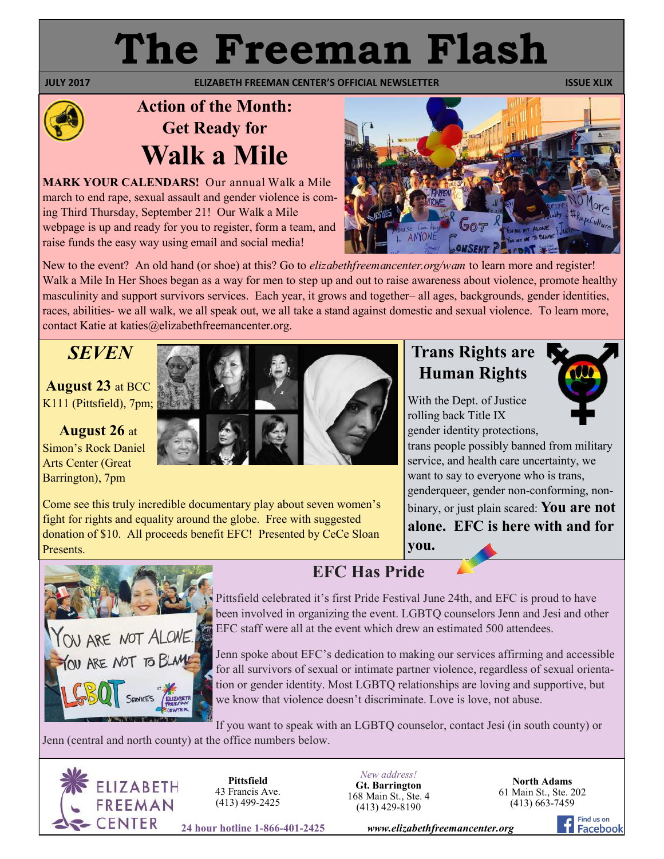# **The Freeman Flash**

**JULY 2017 CONTROLLIZABETH FREEMAN CENTER'S OFFICIAL NEWSLETTER ISSUE XLIX ISSUE XLIX** 

# **Action of the Month: Get Ready for Walk a Mile**

**MARK YOUR CALENDARS!** Our annual Walk a Mile march to end rape, sexual assault and gender violence is coming Third Thursday, September 21! Our Walk a Mile webpage is up and ready for you to register, form a team, and raise funds the easy way using email and social media!



New to the event? An old hand (or shoe) at this? Go to *elizabethfreemancenter.org/wam* to learn more and register! Walk a Mile In Her Shoes began as a way for men to step up and out to raise awareness about violence, promote healthy masculinity and support survivors services. Each year, it grows and together– all ages, backgrounds, gender identities, races, abilities- we all walk, we all speak out, we all take a stand against domestic and sexual violence. To learn more, contact Katie at katies@elizabethfreemancenter.org.

## *SEVEN*

**August 23** at BCC K111 (Pittsfield), 7pm;

**August 26** at Simon's Rock Daniel Arts Center (Great Barrington), 7pm



Come see this truly incredible documentary play about seven women's fight for rights and equality around the globe. Free with suggested donation of \$10. All proceeds benefit EFC! Presented by CeCe Sloan Presents.

## **Trans Rights are Human Rights**

With the Dept. of Justice rolling back Title IX gender identity protections,



trans people possibly banned from military service, and health care uncertainty, we want to say to everyone who is trans, genderqueer, gender non-conforming, nonbinary, or just plain scared: **You are not alone. EFC is here with and for you.** 



### **EFC Has Pride**

Pittsfield celebrated it's first Pride Festival June 24th, and EFC is proud to have been involved in organizing the event. LGBTQ counselors Jenn and Jesi and other EFC staff were all at the event which drew an estimated 500 attendees.

Jenn spoke about EFC's dedication to making our services affirming and accessible for all survivors of sexual or intimate partner violence, regardless of sexual orientation or gender identity. Most LGBTQ relationships are loving and supportive, but we know that violence doesn't discriminate. Love is love, not abuse.

If you want to speak with an LGBTQ counselor, contact Jesi (in south county) or

Jenn (central and north county) at the office numbers below.



**Pittsfield** 43 Francis Ave. (413) 499-2425

*New address!* **Gt. Barrington** 168 Main St., Ste. 4 (413) 429-8190

**North Adams** 61 Main St., Ste. 202 (413) 663-7459

**24 hour hotline 1-866-401-2425** *www.elizabethfreemancenter.org*